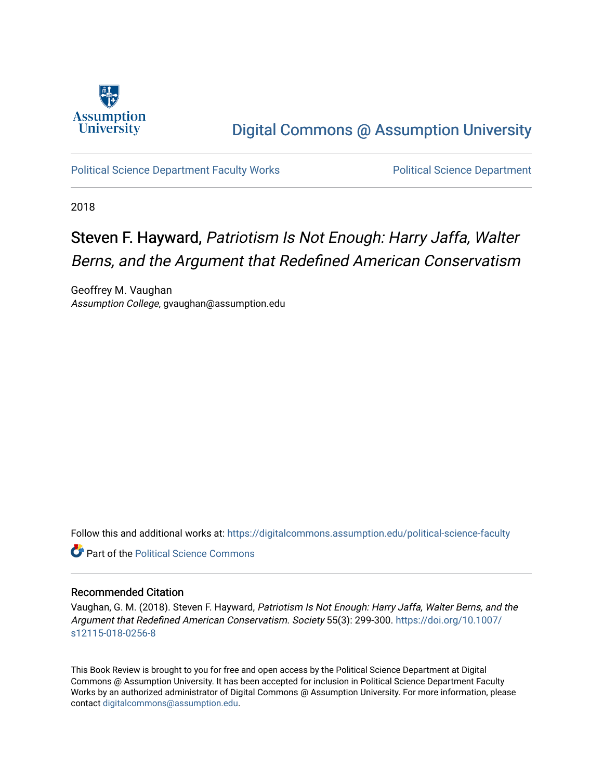

## [Digital Commons @ Assumption University](https://digitalcommons.assumption.edu/)

[Political Science Department Faculty Works](https://digitalcommons.assumption.edu/political-science-faculty) [Political Science Department](https://digitalcommons.assumption.edu/political-science) 

2018

# Steven F. Hayward, Patriotism Is Not Enough: Harry Jaffa, Walter Berns, and the Argument that Redefined American Conservatism

Geoffrey M. Vaughan Assumption College, gvaughan@assumption.edu

Follow this and additional works at: [https://digitalcommons.assumption.edu/political-science-faculty](https://digitalcommons.assumption.edu/political-science-faculty?utm_source=digitalcommons.assumption.edu%2Fpolitical-science-faculty%2F46&utm_medium=PDF&utm_campaign=PDFCoverPages)

**C** Part of the Political Science Commons

### Recommended Citation

Vaughan, G. M. (2018). Steven F. Hayward, Patriotism Is Not Enough: Harry Jaffa, Walter Berns, and the Argument that Redefined American Conservatism. Society 55(3): 299-300. [https://doi.org/10.1007/](https://doi.org/10.1007/s12115-018-0256-8) [s12115-018-0256-8](https://doi.org/10.1007/s12115-018-0256-8)

This Book Review is brought to you for free and open access by the Political Science Department at Digital Commons @ Assumption University. It has been accepted for inclusion in Political Science Department Faculty Works by an authorized administrator of Digital Commons @ Assumption University. For more information, please contact [digitalcommons@assumption.edu.](mailto:digitalcommons@assumption.edu)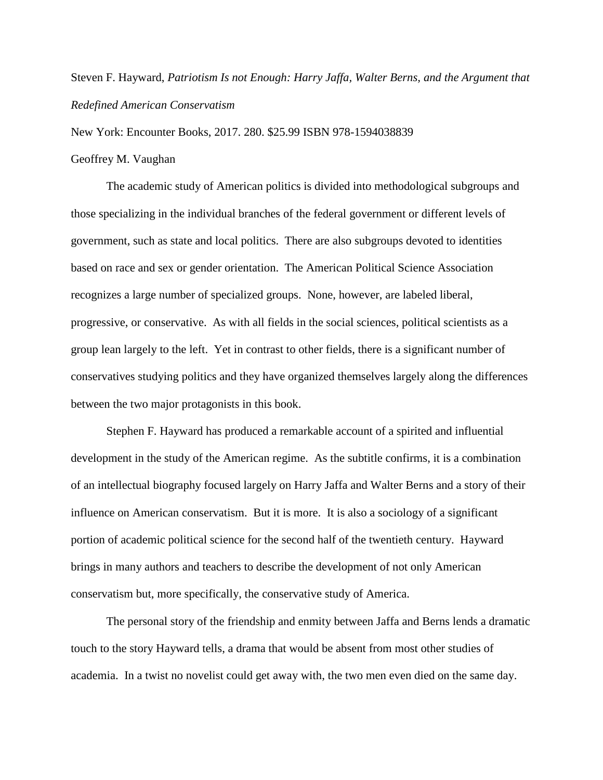### Steven F. Hayward, *Patriotism Is not Enough: Harry Jaffa, Walter Berns, and the Argument that Redefined American Conservatism*

New York: Encounter Books, 2017. 280. \$25.99 ISBN 978-1594038839

### Geoffrey M. Vaughan

The academic study of American politics is divided into methodological subgroups and those specializing in the individual branches of the federal government or different levels of government, such as state and local politics. There are also subgroups devoted to identities based on race and sex or gender orientation. The American Political Science Association recognizes a large number of specialized groups. None, however, are labeled liberal, progressive, or conservative. As with all fields in the social sciences, political scientists as a group lean largely to the left. Yet in contrast to other fields, there is a significant number of conservatives studying politics and they have organized themselves largely along the differences between the two major protagonists in this book.

Stephen F. Hayward has produced a remarkable account of a spirited and influential development in the study of the American regime. As the subtitle confirms, it is a combination of an intellectual biography focused largely on Harry Jaffa and Walter Berns and a story of their influence on American conservatism. But it is more. It is also a sociology of a significant portion of academic political science for the second half of the twentieth century. Hayward brings in many authors and teachers to describe the development of not only American conservatism but, more specifically, the conservative study of America.

The personal story of the friendship and enmity between Jaffa and Berns lends a dramatic touch to the story Hayward tells, a drama that would be absent from most other studies of academia. In a twist no novelist could get away with, the two men even died on the same day.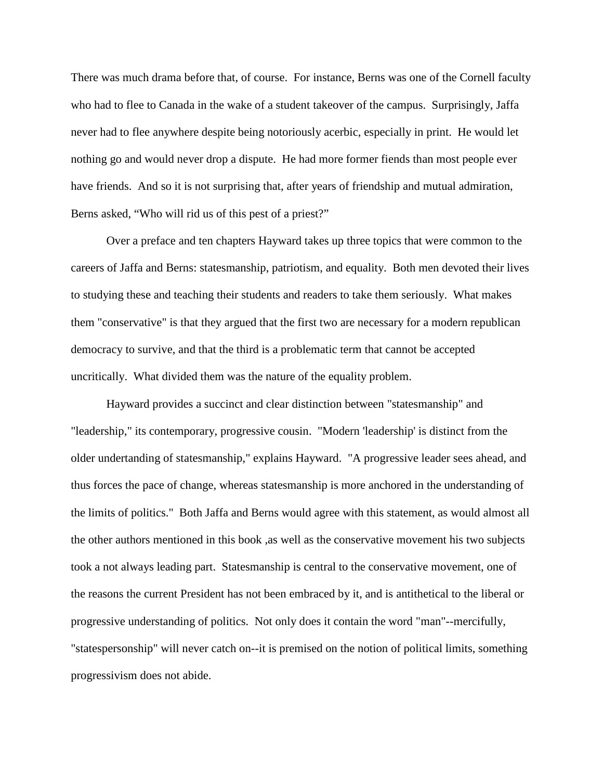There was much drama before that, of course. For instance, Berns was one of the Cornell faculty who had to flee to Canada in the wake of a student takeover of the campus. Surprisingly, Jaffa never had to flee anywhere despite being notoriously acerbic, especially in print. He would let nothing go and would never drop a dispute. He had more former fiends than most people ever have friends. And so it is not surprising that, after years of friendship and mutual admiration, Berns asked, "Who will rid us of this pest of a priest?"

Over a preface and ten chapters Hayward takes up three topics that were common to the careers of Jaffa and Berns: statesmanship, patriotism, and equality. Both men devoted their lives to studying these and teaching their students and readers to take them seriously. What makes them "conservative" is that they argued that the first two are necessary for a modern republican democracy to survive, and that the third is a problematic term that cannot be accepted uncritically. What divided them was the nature of the equality problem.

Hayward provides a succinct and clear distinction between "statesmanship" and "leadership," its contemporary, progressive cousin. "Modern 'leadership' is distinct from the older undertanding of statesmanship," explains Hayward. "A progressive leader sees ahead, and thus forces the pace of change, whereas statesmanship is more anchored in the understanding of the limits of politics." Both Jaffa and Berns would agree with this statement, as would almost all the other authors mentioned in this book ,as well as the conservative movement his two subjects took a not always leading part. Statesmanship is central to the conservative movement, one of the reasons the current President has not been embraced by it, and is antithetical to the liberal or progressive understanding of politics. Not only does it contain the word "man"--mercifully, "statespersonship" will never catch on--it is premised on the notion of political limits, something progressivism does not abide.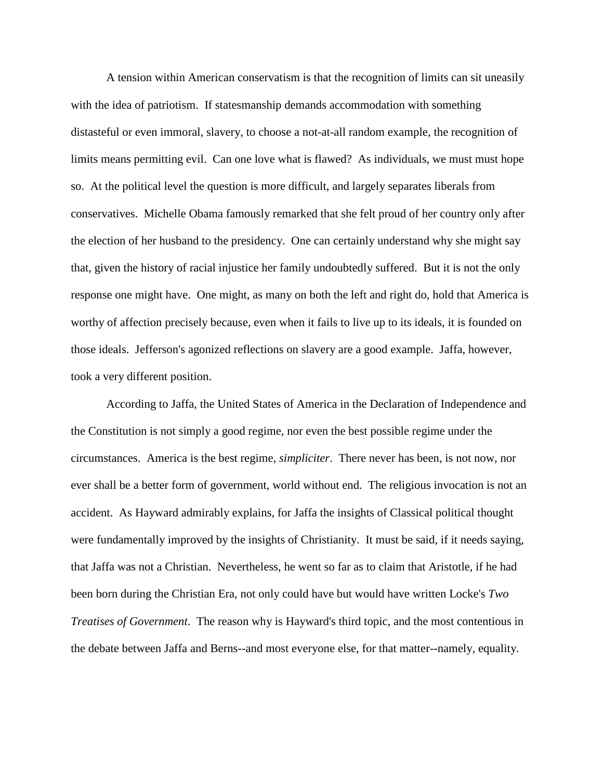A tension within American conservatism is that the recognition of limits can sit uneasily with the idea of patriotism. If statesmanship demands accommodation with something distasteful or even immoral, slavery, to choose a not-at-all random example, the recognition of limits means permitting evil. Can one love what is flawed? As individuals, we must must hope so. At the political level the question is more difficult, and largely separates liberals from conservatives. Michelle Obama famously remarked that she felt proud of her country only after the election of her husband to the presidency. One can certainly understand why she might say that, given the history of racial injustice her family undoubtedly suffered. But it is not the only response one might have. One might, as many on both the left and right do, hold that America is worthy of affection precisely because, even when it fails to live up to its ideals, it is founded on those ideals. Jefferson's agonized reflections on slavery are a good example. Jaffa, however, took a very different position.

According to Jaffa, the United States of America in the Declaration of Independence and the Constitution is not simply a good regime, nor even the best possible regime under the circumstances. America is the best regime, *simpliciter*. There never has been, is not now, nor ever shall be a better form of government, world without end. The religious invocation is not an accident. As Hayward admirably explains, for Jaffa the insights of Classical political thought were fundamentally improved by the insights of Christianity. It must be said, if it needs saying, that Jaffa was not a Christian. Nevertheless, he went so far as to claim that Aristotle, if he had been born during the Christian Era, not only could have but would have written Locke's *Two Treatises of Government*. The reason why is Hayward's third topic, and the most contentious in the debate between Jaffa and Berns--and most everyone else, for that matter--namely, equality.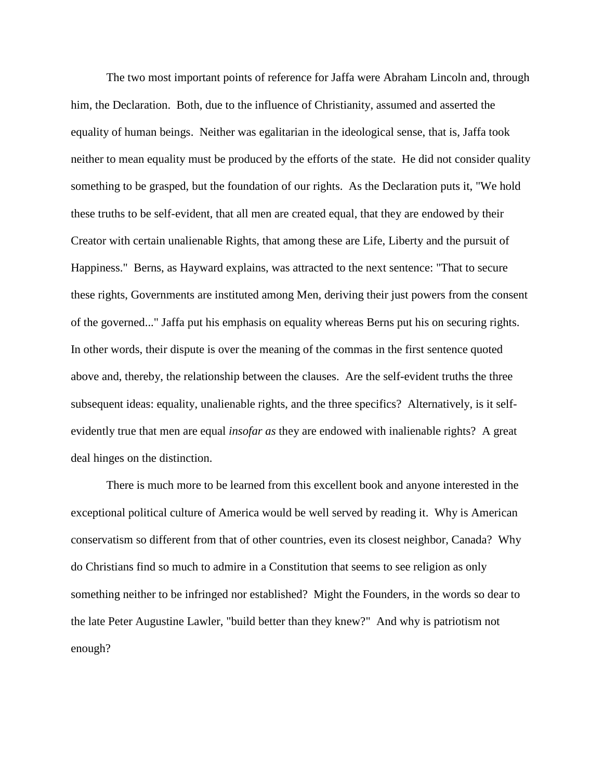The two most important points of reference for Jaffa were Abraham Lincoln and, through him, the Declaration. Both, due to the influence of Christianity, assumed and asserted the equality of human beings. Neither was egalitarian in the ideological sense, that is, Jaffa took neither to mean equality must be produced by the efforts of the state. He did not consider quality something to be grasped, but the foundation of our rights. As the Declaration puts it, "We hold these truths to be self-evident, that all men are created equal, that they are endowed by their Creator with certain unalienable Rights, that among these are Life, Liberty and the pursuit of Happiness." Berns, as Hayward explains, was attracted to the next sentence: "That to secure these rights, Governments are instituted among Men, deriving their just powers from the consent of the governed..." Jaffa put his emphasis on equality whereas Berns put his on securing rights. In other words, their dispute is over the meaning of the commas in the first sentence quoted above and, thereby, the relationship between the clauses. Are the self-evident truths the three subsequent ideas: equality, unalienable rights, and the three specifics? Alternatively, is it selfevidently true that men are equal *insofar as* they are endowed with inalienable rights? A great deal hinges on the distinction.

There is much more to be learned from this excellent book and anyone interested in the exceptional political culture of America would be well served by reading it. Why is American conservatism so different from that of other countries, even its closest neighbor, Canada? Why do Christians find so much to admire in a Constitution that seems to see religion as only something neither to be infringed nor established? Might the Founders, in the words so dear to the late Peter Augustine Lawler, "build better than they knew?" And why is patriotism not enough?